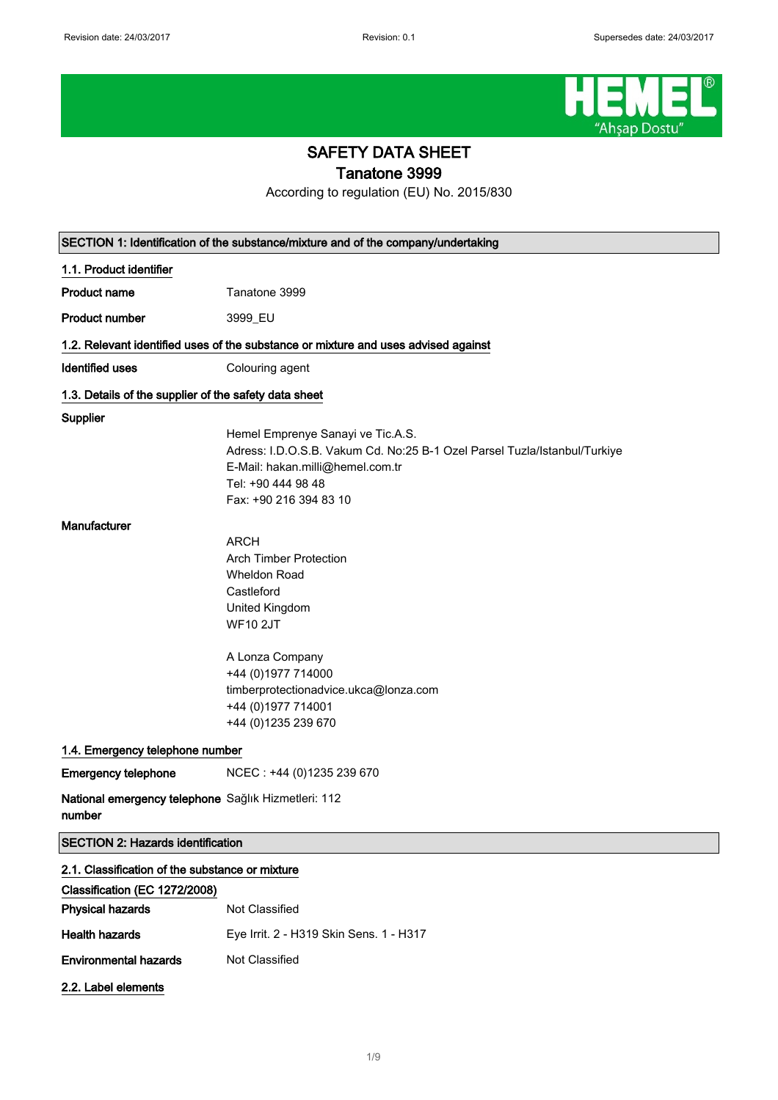

# SAFETY DATA SHEET

Tanatone 3999

According to regulation (EU) No. 2015/830

|                                                               | SECTION 1: Identification of the substance/mixture and of the company/undertaking                                                                                                                                                |
|---------------------------------------------------------------|----------------------------------------------------------------------------------------------------------------------------------------------------------------------------------------------------------------------------------|
| 1.1. Product identifier                                       |                                                                                                                                                                                                                                  |
| <b>Product name</b>                                           | Tanatone 3999                                                                                                                                                                                                                    |
| <b>Product number</b>                                         | 3999_EU                                                                                                                                                                                                                          |
|                                                               | 1.2. Relevant identified uses of the substance or mixture and uses advised against                                                                                                                                               |
| <b>Identified uses</b>                                        | Colouring agent                                                                                                                                                                                                                  |
| 1.3. Details of the supplier of the safety data sheet         |                                                                                                                                                                                                                                  |
| Supplier                                                      | Hemel Emprenye Sanayi ve Tic.A.S.<br>Adress: I.D.O.S.B. Vakum Cd. No:25 B-1 Ozel Parsel Tuzla/Istanbul/Turkiye<br>E-Mail: hakan.milli@hemel.com.tr<br>Tel: +90 444 98 48<br>Fax: +90 216 394 83 10                               |
| Manufacturer                                                  | <b>ARCH</b><br><b>Arch Timber Protection</b><br><b>Wheldon Road</b><br>Castleford<br>United Kingdom<br><b>WF10 2JT</b><br>A Lonza Company<br>+44 (0) 1977 714000<br>timberprotectionadvice.ukca@lonza.com<br>+44 (0) 1977 714001 |
|                                                               | +44 (0)1235 239 670                                                                                                                                                                                                              |
| 1.4. Emergency telephone number                               |                                                                                                                                                                                                                                  |
| <b>Emergency telephone</b>                                    | NCEC: +44 (0)1235 239 670                                                                                                                                                                                                        |
| National emergency telephone Sağlık Hizmetleri: 112<br>number |                                                                                                                                                                                                                                  |
| <b>SECTION 2: Hazards identification</b>                      |                                                                                                                                                                                                                                  |
| 2.1. Classification of the substance or mixture               |                                                                                                                                                                                                                                  |
| Classification (EC 1272/2008)                                 |                                                                                                                                                                                                                                  |
| <b>Physical hazards</b>                                       | Not Classified                                                                                                                                                                                                                   |
| <b>Health hazards</b>                                         | Eye Irrit. 2 - H319 Skin Sens. 1 - H317                                                                                                                                                                                          |
| <b>Environmental hazards</b>                                  | Not Classified                                                                                                                                                                                                                   |
| 2.2. Label elements                                           |                                                                                                                                                                                                                                  |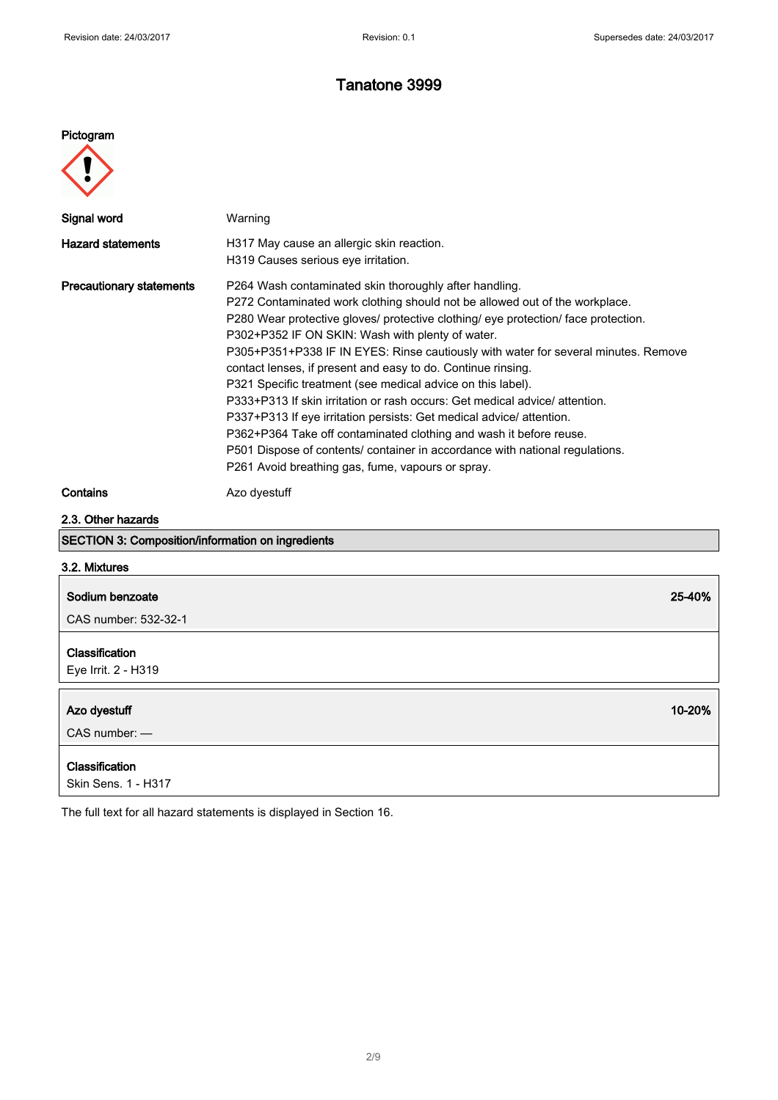#### Pictogram



| Signal word                                              | Warning                                                                                                                                                                                                                                                                                                                                                                                                                                                                                                                                                                                                                                                                                                                                                                                                                                                              |
|----------------------------------------------------------|----------------------------------------------------------------------------------------------------------------------------------------------------------------------------------------------------------------------------------------------------------------------------------------------------------------------------------------------------------------------------------------------------------------------------------------------------------------------------------------------------------------------------------------------------------------------------------------------------------------------------------------------------------------------------------------------------------------------------------------------------------------------------------------------------------------------------------------------------------------------|
| <b>Hazard statements</b>                                 | H317 May cause an allergic skin reaction.<br>H319 Causes serious eye irritation.                                                                                                                                                                                                                                                                                                                                                                                                                                                                                                                                                                                                                                                                                                                                                                                     |
| <b>Precautionary statements</b>                          | P264 Wash contaminated skin thoroughly after handling.<br>P272 Contaminated work clothing should not be allowed out of the workplace.<br>P280 Wear protective gloves/ protective clothing/ eye protection/ face protection.<br>P302+P352 IF ON SKIN: Wash with plenty of water.<br>P305+P351+P338 IF IN EYES: Rinse cautiously with water for several minutes. Remove<br>contact lenses, if present and easy to do. Continue rinsing.<br>P321 Specific treatment (see medical advice on this label).<br>P333+P313 If skin irritation or rash occurs: Get medical advice/attention.<br>P337+P313 If eye irritation persists: Get medical advice/attention.<br>P362+P364 Take off contaminated clothing and wash it before reuse.<br>P501 Dispose of contents/ container in accordance with national regulations.<br>P261 Avoid breathing gas, fume, vapours or spray. |
| Contains                                                 | Azo dyestuff                                                                                                                                                                                                                                                                                                                                                                                                                                                                                                                                                                                                                                                                                                                                                                                                                                                         |
| 2.3. Other hazards                                       |                                                                                                                                                                                                                                                                                                                                                                                                                                                                                                                                                                                                                                                                                                                                                                                                                                                                      |
| <b>SECTION 3: Composition/information on ingredients</b> |                                                                                                                                                                                                                                                                                                                                                                                                                                                                                                                                                                                                                                                                                                                                                                                                                                                                      |

#### 3.2. Mixtures

| Sodium benzoate                       | 25-40% |
|---------------------------------------|--------|
| CAS number: 532-32-1                  |        |
| Classification<br>Eye Irrit. 2 - H319 |        |
| Azo dyestuff                          | 10-20% |
| $CAS$ number: $-$                     |        |

The full text for all hazard statements is displayed in Section 16.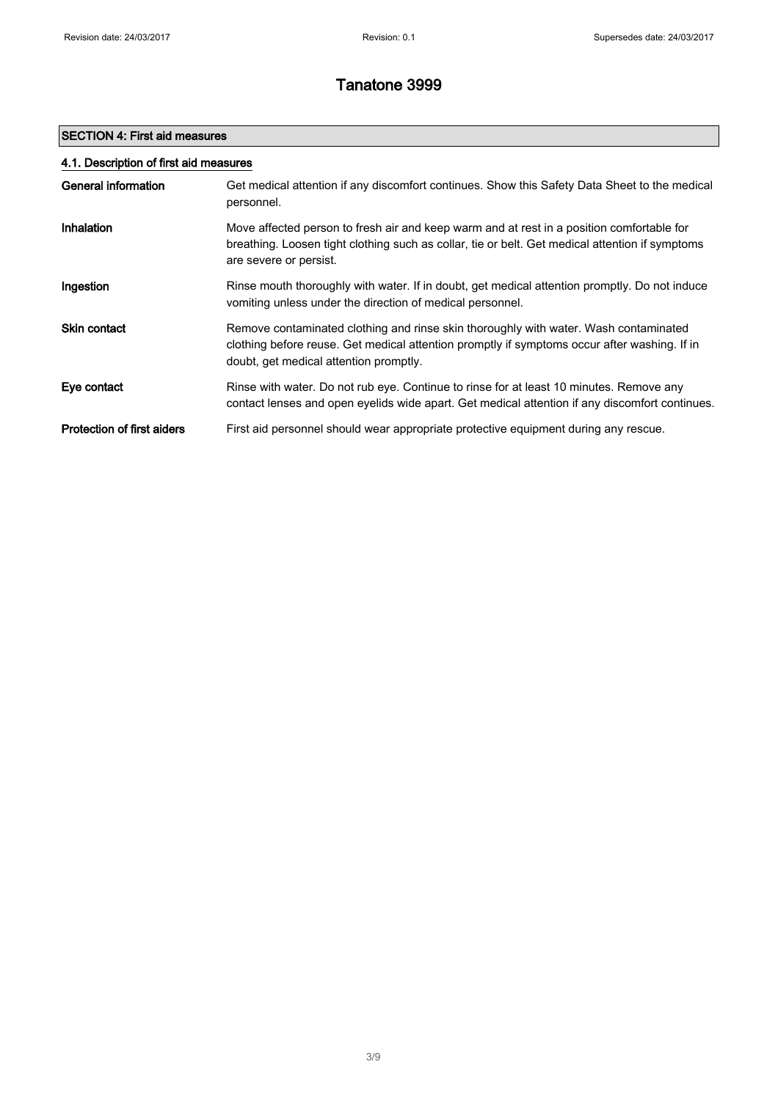### SECTION 4: First aid measures

| 4.1. Description of first aid measures |                                                                                                                                                                                                                                |  |
|----------------------------------------|--------------------------------------------------------------------------------------------------------------------------------------------------------------------------------------------------------------------------------|--|
| General information                    | Get medical attention if any discomfort continues. Show this Safety Data Sheet to the medical<br>personnel.                                                                                                                    |  |
| Inhalation                             | Move affected person to fresh air and keep warm and at rest in a position comfortable for<br>breathing. Loosen tight clothing such as collar, tie or belt. Get medical attention if symptoms<br>are severe or persist.         |  |
| Ingestion                              | Rinse mouth thoroughly with water. If in doubt, get medical attention promptly. Do not induce<br>vomiting unless under the direction of medical personnel.                                                                     |  |
| <b>Skin contact</b>                    | Remove contaminated clothing and rinse skin thoroughly with water. Wash contaminated<br>clothing before reuse. Get medical attention promptly if symptoms occur after washing. If in<br>doubt, get medical attention promptly. |  |
| Eye contact                            | Rinse with water. Do not rub eye. Continue to rinse for at least 10 minutes. Remove any<br>contact lenses and open eyelids wide apart. Get medical attention if any discomfort continues.                                      |  |
| <b>Protection of first aiders</b>      | First aid personnel should wear appropriate protective equipment during any rescue.                                                                                                                                            |  |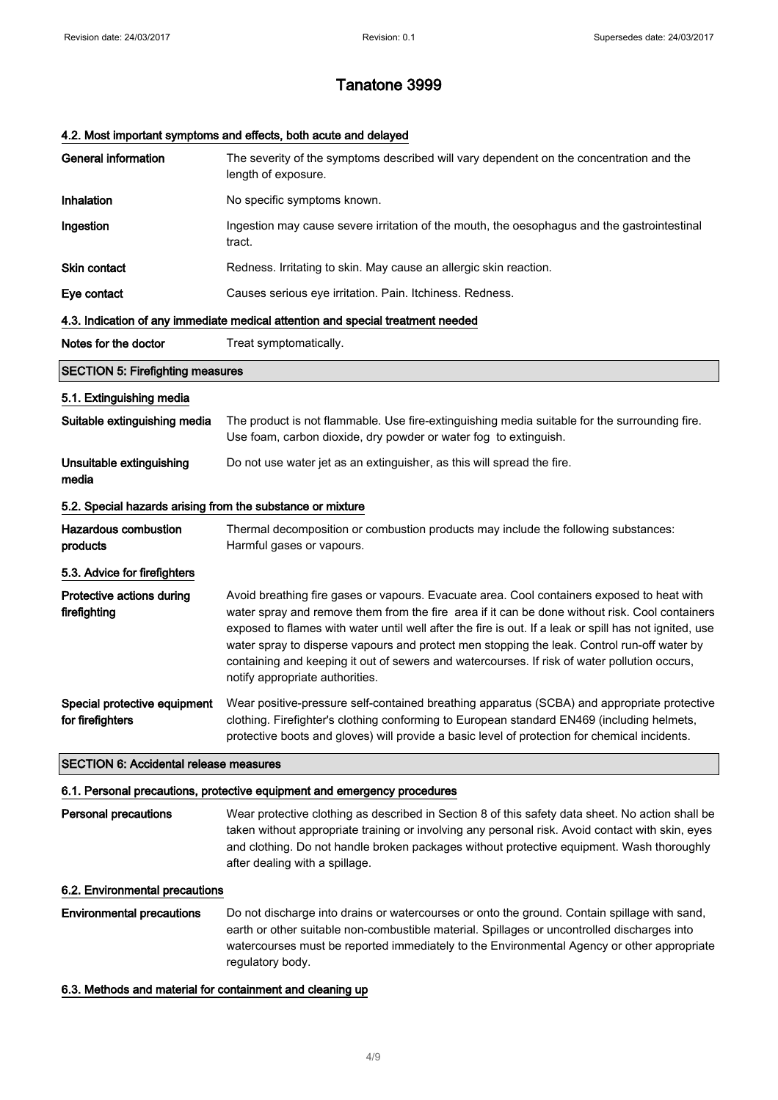#### 4.2. Most important symptoms and effects, both acute and delayed

| <b>General information</b>                                 | The severity of the symptoms described will vary dependent on the concentration and the<br>length of exposure.                                                                                                                                                                                                                                                                                                                                                                                                                           |
|------------------------------------------------------------|------------------------------------------------------------------------------------------------------------------------------------------------------------------------------------------------------------------------------------------------------------------------------------------------------------------------------------------------------------------------------------------------------------------------------------------------------------------------------------------------------------------------------------------|
| Inhalation                                                 | No specific symptoms known.                                                                                                                                                                                                                                                                                                                                                                                                                                                                                                              |
| Ingestion                                                  | Ingestion may cause severe irritation of the mouth, the oesophagus and the gastrointestinal<br>tract.                                                                                                                                                                                                                                                                                                                                                                                                                                    |
| <b>Skin contact</b>                                        | Redness. Irritating to skin. May cause an allergic skin reaction.                                                                                                                                                                                                                                                                                                                                                                                                                                                                        |
| Eye contact                                                | Causes serious eye irritation. Pain. Itchiness. Redness.                                                                                                                                                                                                                                                                                                                                                                                                                                                                                 |
|                                                            | 4.3. Indication of any immediate medical attention and special treatment needed                                                                                                                                                                                                                                                                                                                                                                                                                                                          |
| Notes for the doctor                                       | Treat symptomatically.                                                                                                                                                                                                                                                                                                                                                                                                                                                                                                                   |
| <b>SECTION 5: Firefighting measures</b>                    |                                                                                                                                                                                                                                                                                                                                                                                                                                                                                                                                          |
| 5.1. Extinguishing media                                   |                                                                                                                                                                                                                                                                                                                                                                                                                                                                                                                                          |
| Suitable extinguishing media                               | The product is not flammable. Use fire-extinguishing media suitable for the surrounding fire.<br>Use foam, carbon dioxide, dry powder or water fog to extinguish.                                                                                                                                                                                                                                                                                                                                                                        |
| Unsuitable extinguishing<br>media                          | Do not use water jet as an extinguisher, as this will spread the fire.                                                                                                                                                                                                                                                                                                                                                                                                                                                                   |
| 5.2. Special hazards arising from the substance or mixture |                                                                                                                                                                                                                                                                                                                                                                                                                                                                                                                                          |
| Hazardous combustion<br>products                           | Thermal decomposition or combustion products may include the following substances:<br>Harmful gases or vapours.                                                                                                                                                                                                                                                                                                                                                                                                                          |
| 5.3. Advice for firefighters                               |                                                                                                                                                                                                                                                                                                                                                                                                                                                                                                                                          |
| Protective actions during<br>firefighting                  | Avoid breathing fire gases or vapours. Evacuate area. Cool containers exposed to heat with<br>water spray and remove them from the fire area if it can be done without risk. Cool containers<br>exposed to flames with water until well after the fire is out. If a leak or spill has not ignited, use<br>water spray to disperse vapours and protect men stopping the leak. Control run-off water by<br>containing and keeping it out of sewers and watercourses. If risk of water pollution occurs,<br>notify appropriate authorities. |
| Special protective equipment<br>for firefighters           | Wear positive-pressure self-contained breathing apparatus (SCBA) and appropriate protective<br>clothing. Firefighter's clothing conforming to European standard EN469 (including helmets,<br>protective boots and gloves) will provide a basic level of protection for chemical incidents.                                                                                                                                                                                                                                               |
| <b>SECTION 6: Accidental release measures</b>              |                                                                                                                                                                                                                                                                                                                                                                                                                                                                                                                                          |

#### 6.1. Personal precautions, protective equipment and emergency procedures

Personal precautions Wear protective clothing as described in Section 8 of this safety data sheet. No action shall be taken without appropriate training or involving any personal risk. Avoid contact with skin, eyes and clothing. Do not handle broken packages without protective equipment. Wash thoroughly after dealing with a spillage.

#### 6.2. Environmental precautions

Environmental precautions Do not discharge into drains or watercourses or onto the ground. Contain spillage with sand, earth or other suitable non-combustible material. Spillages or uncontrolled discharges into watercourses must be reported immediately to the Environmental Agency or other appropriate regulatory body.

#### 6.3. Methods and material for containment and cleaning up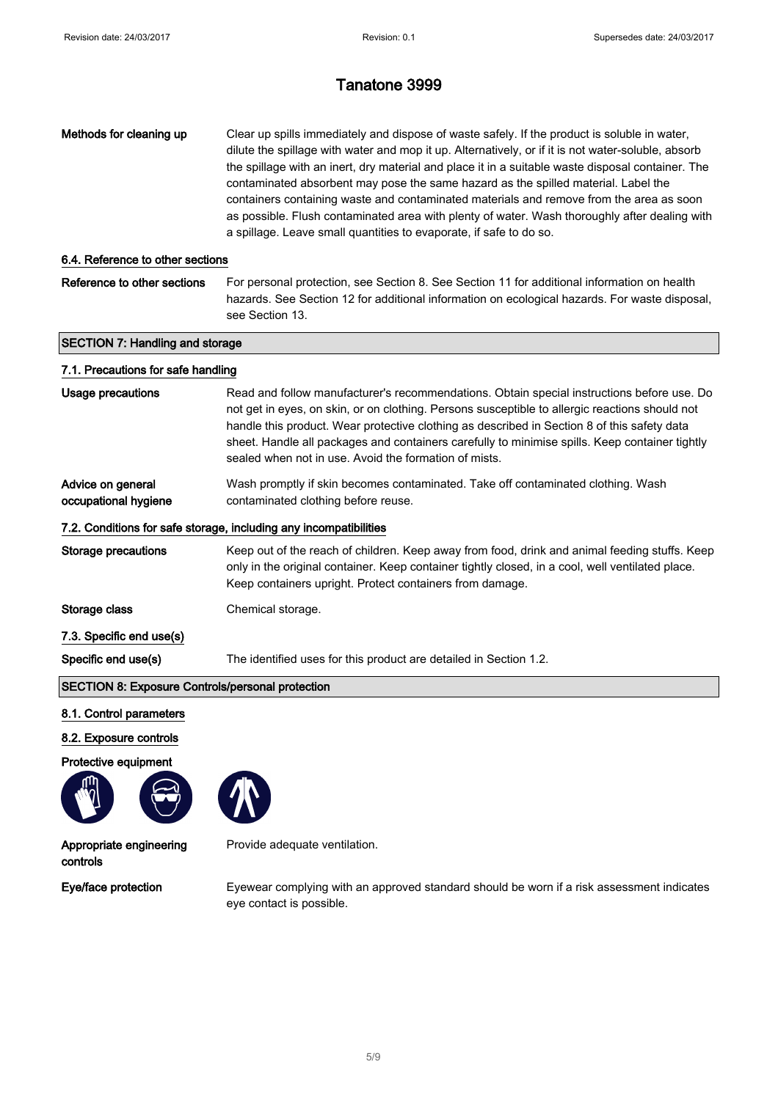| Methods for cleaning up                                 | Clear up spills immediately and dispose of waste safely. If the product is soluble in water,<br>dilute the spillage with water and mop it up. Alternatively, or if it is not water-soluble, absorb<br>the spillage with an inert, dry material and place it in a suitable waste disposal container. The<br>contaminated absorbent may pose the same hazard as the spilled material. Label the<br>containers containing waste and contaminated materials and remove from the area as soon<br>as possible. Flush contaminated area with plenty of water. Wash thoroughly after dealing with<br>a spillage. Leave small quantities to evaporate, if safe to do so. |  |
|---------------------------------------------------------|-----------------------------------------------------------------------------------------------------------------------------------------------------------------------------------------------------------------------------------------------------------------------------------------------------------------------------------------------------------------------------------------------------------------------------------------------------------------------------------------------------------------------------------------------------------------------------------------------------------------------------------------------------------------|--|
| 6.4. Reference to other sections                        |                                                                                                                                                                                                                                                                                                                                                                                                                                                                                                                                                                                                                                                                 |  |
| Reference to other sections                             | For personal protection, see Section 8. See Section 11 for additional information on health<br>hazards. See Section 12 for additional information on ecological hazards. For waste disposal,<br>see Section 13.                                                                                                                                                                                                                                                                                                                                                                                                                                                 |  |
| <b>SECTION 7: Handling and storage</b>                  |                                                                                                                                                                                                                                                                                                                                                                                                                                                                                                                                                                                                                                                                 |  |
| 7.1. Precautions for safe handling                      |                                                                                                                                                                                                                                                                                                                                                                                                                                                                                                                                                                                                                                                                 |  |
| <b>Usage precautions</b>                                | Read and follow manufacturer's recommendations. Obtain special instructions before use. Do<br>not get in eyes, on skin, or on clothing. Persons susceptible to allergic reactions should not<br>handle this product. Wear protective clothing as described in Section 8 of this safety data<br>sheet. Handle all packages and containers carefully to minimise spills. Keep container tightly<br>sealed when not in use. Avoid the formation of mists.                                                                                                                                                                                                          |  |
| Advice on general<br>occupational hygiene               | Wash promptly if skin becomes contaminated. Take off contaminated clothing. Wash<br>contaminated clothing before reuse.                                                                                                                                                                                                                                                                                                                                                                                                                                                                                                                                         |  |
|                                                         | 7.2. Conditions for safe storage, including any incompatibilities                                                                                                                                                                                                                                                                                                                                                                                                                                                                                                                                                                                               |  |
| <b>Storage precautions</b>                              | Keep out of the reach of children. Keep away from food, drink and animal feeding stuffs. Keep<br>only in the original container. Keep container tightly closed, in a cool, well ventilated place.<br>Keep containers upright. Protect containers from damage.                                                                                                                                                                                                                                                                                                                                                                                                   |  |
| Storage class                                           | Chemical storage.                                                                                                                                                                                                                                                                                                                                                                                                                                                                                                                                                                                                                                               |  |
| 7.3. Specific end use(s)                                |                                                                                                                                                                                                                                                                                                                                                                                                                                                                                                                                                                                                                                                                 |  |
| Specific end use(s)                                     | The identified uses for this product are detailed in Section 1.2.                                                                                                                                                                                                                                                                                                                                                                                                                                                                                                                                                                                               |  |
| <b>SECTION 8: Exposure Controls/personal protection</b> |                                                                                                                                                                                                                                                                                                                                                                                                                                                                                                                                                                                                                                                                 |  |
| 8.1. Control parameters                                 |                                                                                                                                                                                                                                                                                                                                                                                                                                                                                                                                                                                                                                                                 |  |
| 8.2. Exposure controls                                  |                                                                                                                                                                                                                                                                                                                                                                                                                                                                                                                                                                                                                                                                 |  |
| Protective equipment                                    |                                                                                                                                                                                                                                                                                                                                                                                                                                                                                                                                                                                                                                                                 |  |
|                                                         |                                                                                                                                                                                                                                                                                                                                                                                                                                                                                                                                                                                                                                                                 |  |
| Appropriate engineering<br>controls                     | Provide adequate ventilation.                                                                                                                                                                                                                                                                                                                                                                                                                                                                                                                                                                                                                                   |  |

Eye/face protection Eyewear complying with an approved standard should be worn if a risk assessment indicates eye contact is possible.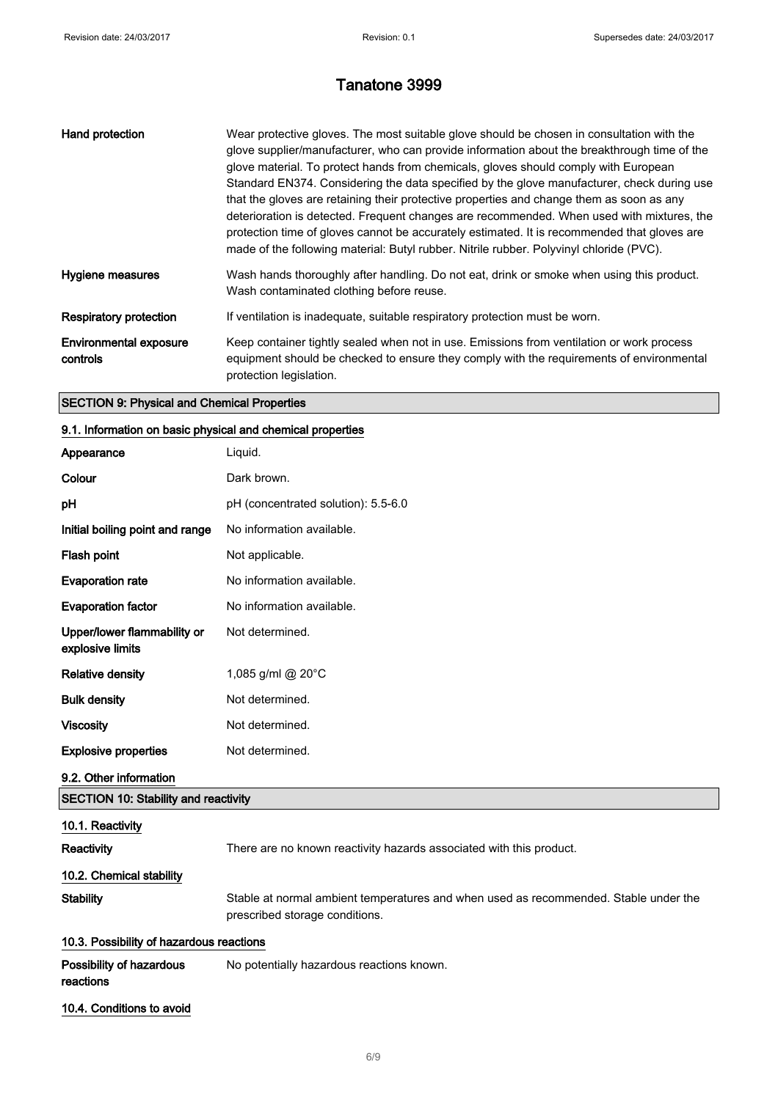| Hand protection                           | Wear protective gloves. The most suitable glove should be chosen in consultation with the<br>glove supplier/manufacturer, who can provide information about the breakthrough time of the<br>glove material. To protect hands from chemicals, gloves should comply with European<br>Standard EN374. Considering the data specified by the glove manufacturer, check during use<br>that the gloves are retaining their protective properties and change them as soon as any<br>deterioration is detected. Frequent changes are recommended. When used with mixtures, the<br>protection time of gloves cannot be accurately estimated. It is recommended that gloves are<br>made of the following material: Butyl rubber. Nitrile rubber. Polyvinyl chloride (PVC). |
|-------------------------------------------|------------------------------------------------------------------------------------------------------------------------------------------------------------------------------------------------------------------------------------------------------------------------------------------------------------------------------------------------------------------------------------------------------------------------------------------------------------------------------------------------------------------------------------------------------------------------------------------------------------------------------------------------------------------------------------------------------------------------------------------------------------------|
| Hygiene measures                          | Wash hands thoroughly after handling. Do not eat, drink or smoke when using this product.<br>Wash contaminated clothing before reuse.                                                                                                                                                                                                                                                                                                                                                                                                                                                                                                                                                                                                                            |
| <b>Respiratory protection</b>             | If ventilation is inadequate, suitable respiratory protection must be worn.                                                                                                                                                                                                                                                                                                                                                                                                                                                                                                                                                                                                                                                                                      |
| <b>Environmental exposure</b><br>controls | Keep container tightly sealed when not in use. Emissions from ventilation or work process<br>equipment should be checked to ensure they comply with the requirements of environmental<br>protection legislation.                                                                                                                                                                                                                                                                                                                                                                                                                                                                                                                                                 |

#### SECTION 9: Physical and Chemical Properties

#### 9.1. Information on basic physical and chemical properties

| Appearance                                      | Liquid.                                                             |
|-------------------------------------------------|---------------------------------------------------------------------|
| Colour                                          | Dark brown.                                                         |
| рH                                              | pH (concentrated solution): 5.5-6.0                                 |
| Initial boiling point and range                 | No information available.                                           |
| Flash point                                     | Not applicable.                                                     |
| <b>Evaporation rate</b>                         | No information available.                                           |
| <b>Evaporation factor</b>                       | No information available.                                           |
| Upper/lower flammability or<br>explosive limits | Not determined.                                                     |
| <b>Relative density</b>                         | 1,085 g/ml @ 20°C                                                   |
| <b>Bulk density</b>                             | Not determined.                                                     |
| <b>Viscosity</b>                                | Not determined.                                                     |
| <b>Explosive properties</b>                     | Not determined.                                                     |
| 9.2. Other information                          |                                                                     |
| <b>SECTION 10: Stability and reactivity</b>     |                                                                     |
| 10.1. Reactivity                                |                                                                     |
| <b>Reactivity</b>                               | There are no known reactivity hazards associated with this product. |
| 10.2. Chemical stability                        |                                                                     |

### Stability Stable at normal ambient temperatures and when used as recommended. Stable under the prescribed storage conditions.

### 10.3. Possibility of hazardous reactions

| Possibility of hazardous | No potentially hazardous reactions known. |
|--------------------------|-------------------------------------------|
| reactions                |                                           |

10.4. Conditions to avoid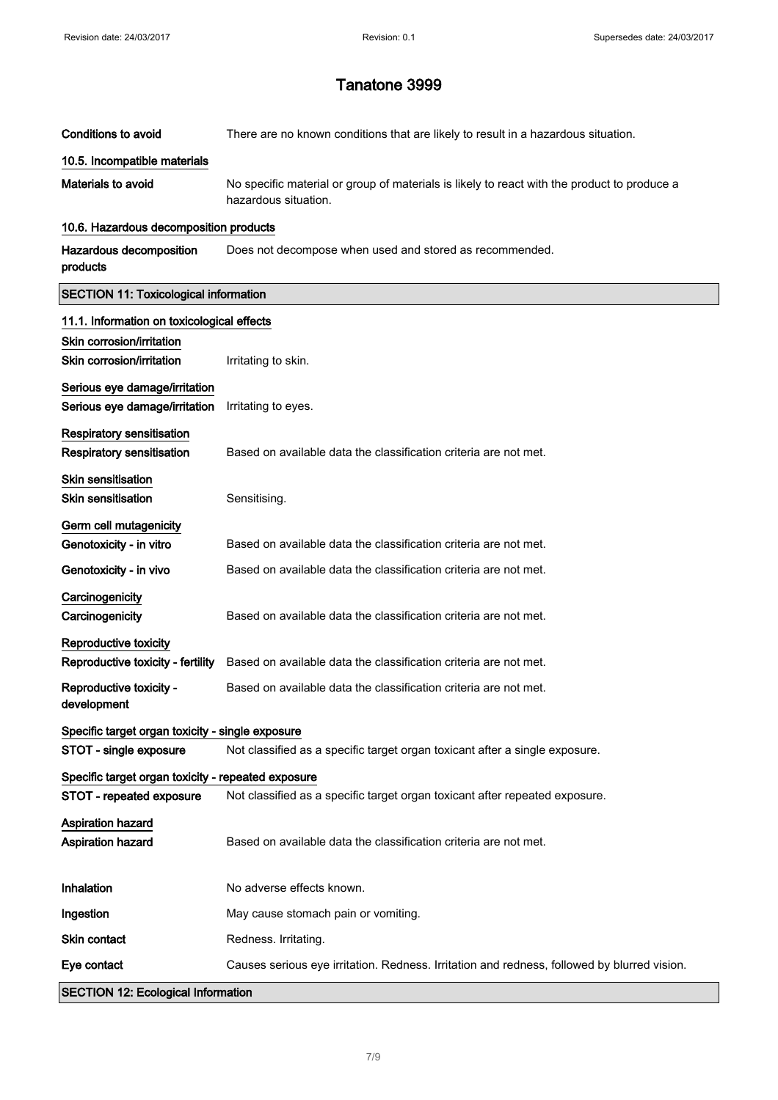| <b>Conditions to avoid</b>                         | There are no known conditions that are likely to result in a hazardous situation.                                   |
|----------------------------------------------------|---------------------------------------------------------------------------------------------------------------------|
| 10.5. Incompatible materials                       |                                                                                                                     |
| <b>Materials to avoid</b>                          | No specific material or group of materials is likely to react with the product to produce a<br>hazardous situation. |
| 10.6. Hazardous decomposition products             |                                                                                                                     |
| Hazardous decomposition<br>products                | Does not decompose when used and stored as recommended.                                                             |
| <b>SECTION 11: Toxicological information</b>       |                                                                                                                     |
| 11.1. Information on toxicological effects         |                                                                                                                     |
| Skin corrosion/irritation                          |                                                                                                                     |
| Skin corrosion/irritation                          | Irritating to skin.                                                                                                 |
| Serious eye damage/irritation                      |                                                                                                                     |
| Serious eye damage/irritation                      | Irritating to eyes.                                                                                                 |
| <b>Respiratory sensitisation</b>                   |                                                                                                                     |
| <b>Respiratory sensitisation</b>                   | Based on available data the classification criteria are not met.                                                    |
| <b>Skin sensitisation</b>                          |                                                                                                                     |
| <b>Skin sensitisation</b>                          | Sensitising.                                                                                                        |
| Germ cell mutagenicity                             |                                                                                                                     |
| Genotoxicity - in vitro                            | Based on available data the classification criteria are not met.                                                    |
| Genotoxicity - in vivo                             | Based on available data the classification criteria are not met.                                                    |
| Carcinogenicity                                    |                                                                                                                     |
| Carcinogenicity                                    | Based on available data the classification criteria are not met.                                                    |
| Reproductive toxicity                              |                                                                                                                     |
| Reproductive toxicity - fertility                  | Based on available data the classification criteria are not met.                                                    |
| Reproductive toxicity -<br>development             | Based on available data the classification criteria are not met.                                                    |
| Specific target organ toxicity - single exposure   |                                                                                                                     |
| STOT - single exposure                             | Not classified as a specific target organ toxicant after a single exposure.                                         |
| Specific target organ toxicity - repeated exposure |                                                                                                                     |
| STOT - repeated exposure                           | Not classified as a specific target organ toxicant after repeated exposure.                                         |
| <b>Aspiration hazard</b>                           |                                                                                                                     |
| Aspiration hazard                                  | Based on available data the classification criteria are not met.                                                    |
|                                                    |                                                                                                                     |
| Inhalation                                         | No adverse effects known.                                                                                           |
| Ingestion                                          | May cause stomach pain or vomiting.                                                                                 |
| Skin contact                                       | Redness. Irritating.                                                                                                |
| Eye contact                                        | Causes serious eye irritation. Redness. Irritation and redness, followed by blurred vision.                         |
| <b>SECTION 12: Ecological Information</b>          |                                                                                                                     |

7/ 9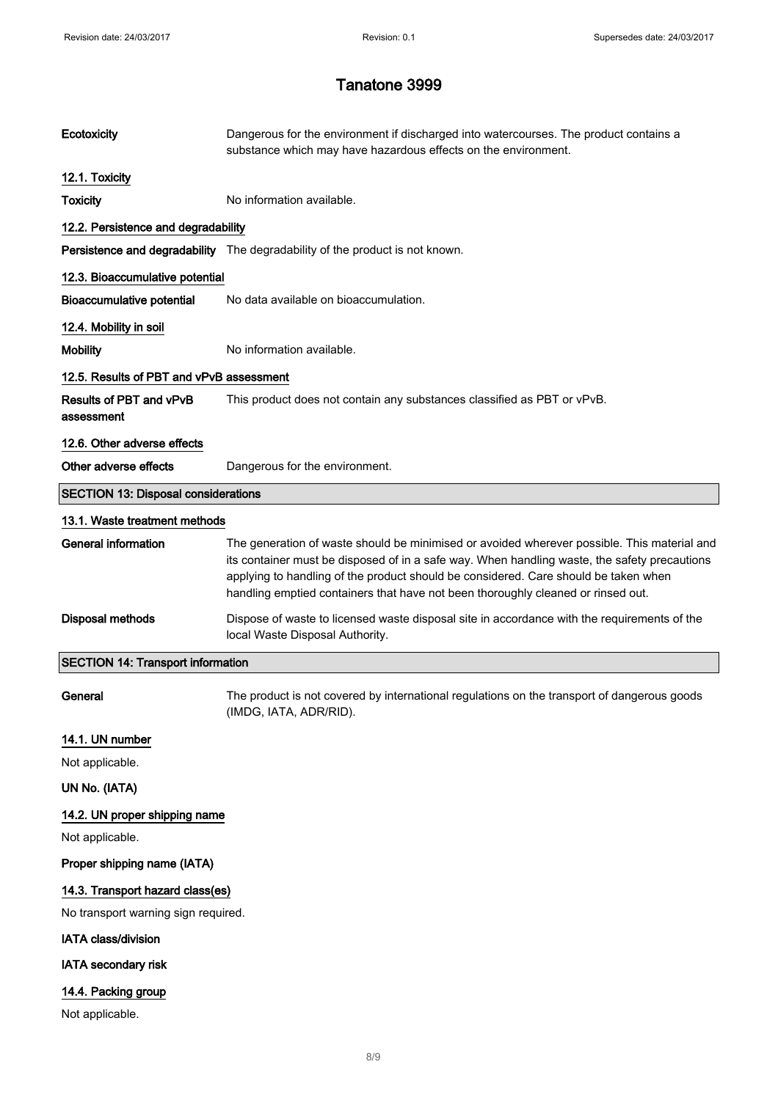| Ecotoxicity                                | Dangerous for the environment if discharged into watercourses. The product contains a<br>substance which may have hazardous effects on the environment.                                                                                                                                                                                                                |  |
|--------------------------------------------|------------------------------------------------------------------------------------------------------------------------------------------------------------------------------------------------------------------------------------------------------------------------------------------------------------------------------------------------------------------------|--|
| 12.1. Toxicity                             |                                                                                                                                                                                                                                                                                                                                                                        |  |
| <b>Toxicity</b>                            | No information available.                                                                                                                                                                                                                                                                                                                                              |  |
| 12.2. Persistence and degradability        |                                                                                                                                                                                                                                                                                                                                                                        |  |
|                                            | Persistence and degradability The degradability of the product is not known.                                                                                                                                                                                                                                                                                           |  |
| 12.3. Bioaccumulative potential            |                                                                                                                                                                                                                                                                                                                                                                        |  |
| <b>Bioaccumulative potential</b>           | No data available on bioaccumulation.                                                                                                                                                                                                                                                                                                                                  |  |
| 12.4. Mobility in soil                     |                                                                                                                                                                                                                                                                                                                                                                        |  |
| <b>Mobility</b>                            | No information available.                                                                                                                                                                                                                                                                                                                                              |  |
| 12.5. Results of PBT and vPvB assessment   |                                                                                                                                                                                                                                                                                                                                                                        |  |
| Results of PBT and vPvB<br>assessment      | This product does not contain any substances classified as PBT or vPvB.                                                                                                                                                                                                                                                                                                |  |
| 12.6. Other adverse effects                |                                                                                                                                                                                                                                                                                                                                                                        |  |
| Other adverse effects                      | Dangerous for the environment.                                                                                                                                                                                                                                                                                                                                         |  |
| <b>SECTION 13: Disposal considerations</b> |                                                                                                                                                                                                                                                                                                                                                                        |  |
| 13.1. Waste treatment methods              |                                                                                                                                                                                                                                                                                                                                                                        |  |
| <b>General information</b>                 | The generation of waste should be minimised or avoided wherever possible. This material and<br>its container must be disposed of in a safe way. When handling waste, the safety precautions<br>applying to handling of the product should be considered. Care should be taken when<br>handling emptied containers that have not been thoroughly cleaned or rinsed out. |  |
| <b>Disposal methods</b>                    | Dispose of waste to licensed waste disposal site in accordance with the requirements of the<br>local Waste Disposal Authority.                                                                                                                                                                                                                                         |  |
| <b>SECTION 14: Transport information</b>   |                                                                                                                                                                                                                                                                                                                                                                        |  |
| General                                    | The product is not covered by international regulations on the transport of dangerous goods<br>(IMDG, IATA, ADR/RID).                                                                                                                                                                                                                                                  |  |
| 14.1. UN number                            |                                                                                                                                                                                                                                                                                                                                                                        |  |
| Not applicable.                            |                                                                                                                                                                                                                                                                                                                                                                        |  |
| UN No. (IATA)                              |                                                                                                                                                                                                                                                                                                                                                                        |  |
| 14.2. UN proper shipping name              |                                                                                                                                                                                                                                                                                                                                                                        |  |
| Not applicable.                            |                                                                                                                                                                                                                                                                                                                                                                        |  |
| Proper shipping name (IATA)                |                                                                                                                                                                                                                                                                                                                                                                        |  |
| 14.3. Transport hazard class(es)           |                                                                                                                                                                                                                                                                                                                                                                        |  |
| No transport warning sign required.        |                                                                                                                                                                                                                                                                                                                                                                        |  |
| <b>IATA class/division</b>                 |                                                                                                                                                                                                                                                                                                                                                                        |  |
| <b>IATA secondary risk</b>                 |                                                                                                                                                                                                                                                                                                                                                                        |  |
| 14.4. Packing group                        |                                                                                                                                                                                                                                                                                                                                                                        |  |
| Not applicable.                            |                                                                                                                                                                                                                                                                                                                                                                        |  |